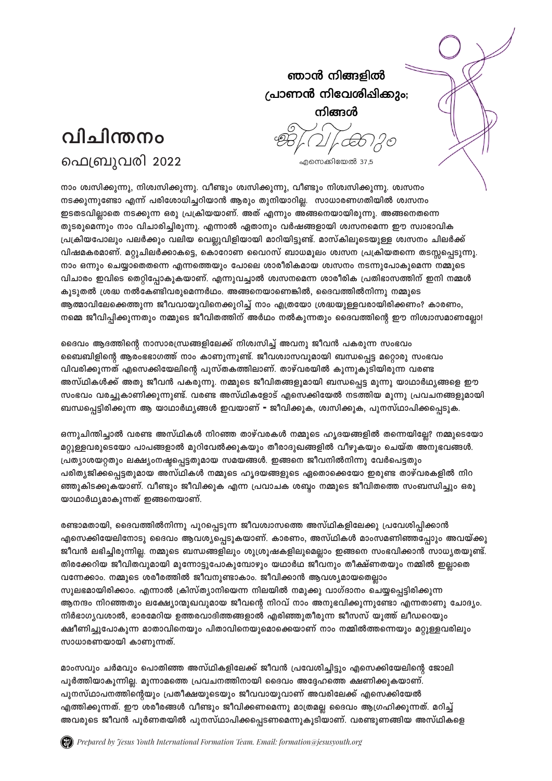## ഞാൻ നിങ്ങളിൽ പ്രാണൻ നിവേശിപ്പിക്കും; നിങ്ങൾ



എസെക്കിയേൽ 37,5

നാം ശ്വസിക്കുന്നു, നിശ്വസിക്കുന്നു. വീണ്ടും ശ്വസിക്കുന്നു, വീണ്ടും നിശ്വസിക്കുന്നു. ശ്വസനം നടക്കുന്നുണ്ടോ എന്ന് പരിശോധിച്ചറിയാൻ ആരും തുനിയാറില്ല. സാധാരണഗതിയിൽ ശ്വസനം ഇടതടവില്ലാതെ നടക്കുന്ന ഒരു പ്രക്രിയയാണ്. അത് എന്നും അങ്ങനെയായിരുന്നു. അങ്ങനെതന്നെ തുടരുമെന്നും നാം വിചാരിച്ചിരുന്നു. എന്നാൽ ഏതാനും വർഷങ്ങളായി ശ്വസനമെന്ന ഈ സ്വാഭാവിക **{]-{In-bt]mepw- ]-e-À-¡pw- h-en-b- -shÃp-hn-fn-bm-bn- am-dn-bn-«p-ïv. am-kvIn-eqsSbp-Å- i-z-k\w- Nn-e-À-¡v**  വിഷമകരമാണ്. മറ്റുചിലർക്കാകട്ടെ, കൊറോണ വൈറസ് ബാധമൂലം ശ്വസന പ്രക്രിയതന്നെ തടസ്റ്റപ്പെടുന്നു. നാം ഒന്നും ചെയ്യാതെെന്നെ എന്നത്തെയും പോലെ ശാരീരികമായ ശ്വസനം നടന്നുപോകുമെന്ന നമ്മുടെ വിചാരം ഇവിടെ തെറ്റിപ്പോകുകയാണ്. എന്നുവച്ചാൽ ശ്വസനമെന്ന ശാരീരിക പ്രതിഭാസത്തിന് ഇനി നമ്മൾ കൂടുതൽ ശ്രദ്ധ നൽകേണ്ടിവരുമെന്നർഥം. അങ്ങനെയാണെങ്കിൽ, ദൈവത്തിൽനിന്നു നമ്മുടെ ആത്മാവിലേക്കെത്തുന്ന ജീവവായുവിനെക്കുറിച്ച് നാം എത്രയോ ശ്രദ്ധയുളളവരായിരിക്കണം? കാരണം, നമ്മെ ജീവിപ്പിക്കുന്നതും നമ്മുടെ ജീവിതത്തിന് അർഥം നൽകുന്നതും ദൈവത്തിന്റെ ഈ നിശ്വാസമാണല്ലോ!

ഭൈവം ആദത്തിന്റെ നാസാരന്ധ്രങ്ങളിലേക്ക് നിശ്വസിച്ച് അവനു ജീവൻ പകരുന്ന സംഭവം ബൈബിളിന്റെ ആരംഭഭാഗത്ത് നാം കാണുന്നുണ്ട്. ജീവശ്വാസവുമായി ബന്ധപ്പെട്ട മറ്റൊരു സംഭവം വിവരിക്കുന്നത് എസെക്കിയേലിന്റെ പുസ്തകത്തിലാണ്. താഴ്വരയിൽ കുന്നുകൂടിയിരുന്ന വരണ്ട അസ്ഥികൾക്ക് അതു ജീവൻ പകരുന്നു. നമ്മുടെ ജീവിതങ്ങളുമായി ബന്ധപ്പെട്ട മുന്നു യാഥാർഥൃങ്ങളെ ഈ സംഭവം വരച്ചുകാണിക്കുന്നുണ്ട്. വരണ്ട അസ്ഥികളോട് എസെക്കിയേൽ നടത്തിയ മൂന്നു പ്രവചനങ്ങളുമായി **\_-Ôs¸«n-cn-¡p-¶- B- bm-Ym-À-Yy-§-Ä- C-h-bm-Wv- - Po-hn-¡p-I-, i-z-kn-¡p-I-, ]p-\-kvYm-]n-¡s¸Sp-I-.**

ഒന്നുചിന്തിച്ചാൽ വരണ്ട അസ്ഥികൾ നിറഞ്ഞ താഴ്വരകൾ നമ്മുടെ ഹ്യദയങ്ങളിൽ തന്നെയില്ലേ? നമ്മുടെയോ മറ്റുളളവരുടെയോ പാപങ്ങളാൽ മുറിവേൽക്കുകയും തീരാദുഖങ്ങളിൽ വീഴുകയും ചെയ്ത അനുഭവങ്ങൾ. **{]-Xym-i-b-ä-Xpw- e-£yw-\-ãs¸«-Xp-am-b- ka-b-§-Ä-. C-§s\ Po-h-\n-Â-\n-¶p- -thÀs]«-Xpw-**  പരിത്യജിക്കപ്പെട്ടതുമായ അസ്ഥികൾ നമ്മുടെ ഹ്യദയങ്ങളുടെ ഏതൊക്കെയോ ഇരുണ്ട താഴ്വരകളിൽ നിറ ഞ്ഞുകിടക്കുകയാണ്. വീണ്ടും ജീവിക്കുക എന്ന പ്രവാചക ശബ്ബം നമ്മുടെ ജീവിതത്തെ സംബന്ധിച്ചും ഒരു <u>യാഥാർഥ്യമാകുന്നത് ഇങ്ങനെയാണ്.</u>

രണ്ടാമതായി, ദൈവത്തിൽനിന്നു പുറപ്പെടുന്ന ജീവശ്വാസത്തെ അസ്ഥികളിലേക്കു പ്രവേശിപ്പിക്കാൻ എസെക്കിയേലിനോടു ദൈവം ആവശ്യപ്പെടുകയാണ്. കാരണം, അസ്ഥികൾ മാംസമണിഞ്ഞപ്പോും അവയ്ക്കു ജീവൻ ലഭിച്ചിരുന്നില്ല. നമ്മുടെ ബന്ധങ്ങളിലും ശുശ്രൂഷകളിലുമെല്ലാം ഇങ്ങനെ സംഭവിക്കാൻ സാധൃതയുണ്ട്. തിരക്കേറിയ ജീവിതവുമായി മുന്നോട്ടുപോകുമ്പോഴും യഥാർഥ ജീവനും തീക്ഷ്ണതയും നമ്മിൽ ഇല്ലാതെ വന്നേക്കാം. നമ്മുടെ ശരീരത്തിൽ ജീവനുണ്ടാകാം. ജീവിക്കാൻ ആവശ്യമായതെല്ലാം സുലഭമായിരിക്കാം. എന്നാൽ ക്രിസ്ത്യാനിയെന്ന നിലയിൽ നമുക്കു വാഗ്ദാനം ചെയ്യപ്പെട്ടിരിക്കുന്ന ആനന്ദം നിറഞ്ഞതും ലക്ഷ്യോന്മുഖവുമായ ജീവന്റെ നിറവ് നാം അനുഭവിക്കുന്നുണ്ടോ എന്നതാണു ചോദ്യം. നിർഭാഗ്യവശാൽ, ഭാരമേറിയ ഉത്തരവാദിത്തങ്ങളാൽ എരിഞ്ഞുതീരുന്ന ജീസസ് യുത്ത് ലീഡറെയും ക്ഷീണിച്ചുപോകുന്ന മാതാവിനെയും പിതാവിനെയുമൊക്കെയാണ് നാം നമ്മിൽത്തന്നെയും മറ്റുളളവരിലും  $m$ ാധാരണയായി കാണുന്നത്.

മാംസവും ചർമവും പൊതിഞ്ഞ അസ്ഥികളിലേക്ക് ജീവൻ പ്രവേശിച്ചിട്ടും എസെക്കിയേലിന്റെ ജോലി പൂർത്തിയാകൂന്നില്ല. മൂന്നാമത്തെ പ്രവചനത്തിനായി ദൈവം അദ്ദേഹത്തെ ക്ഷണിക്കുകയാണ്. പുനസ്ഥാപനത്തിന്റെയും പ്രതീക്ഷയുടെയും ജീവവായുവാണ് അവരിലേക്ക് എസെക്കിയേൽ <u>എത്തിക്കുന്നത്. ഈ ശരീരങ്ങൾ വീണ്ടും ജീവിക്കണമെന്നു മാത്രമല്ല ദൈവം ആഗ്രഹിക്കുന്നത്. മറിച്ച്</u> അവരുടെ ജീവൻ പൂർണതയിൽ പുനസ്ഥാപിക്കപ്പെടണമെന്നുകൂടിയാണ്. വരണ്ടുണങ്ങിയ അസ്ഥികളെ